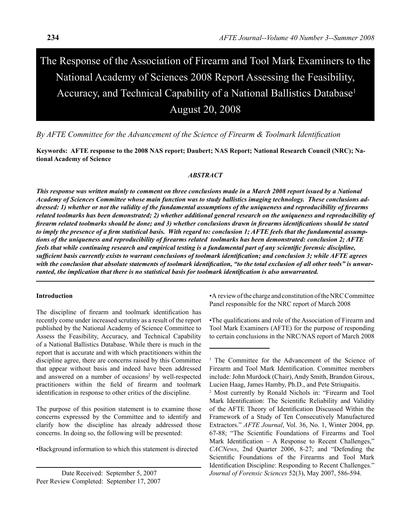# The Response of the Association of Firearm and Tool Mark Examiners to the National Academy of Sciences 2008 Report Assessing the Feasibility, Accuracy, and Technical Capability of a National Ballistics Database<sup>1</sup> August 20, 2008

*By AFTE Committee for the Advancement of the Science of Firearm & Toolmark Identification* 

**Keywords: AFTE response to the 2008 NAS report; Daubert; NAS Report; National Research Council (NRC); National Academy of Science**

#### *ABSTRACT*

*This response was written mainly to comment on three conclusions made in a March 2008 report issued by a National Academy of Sciences Committee whose main function was to study ballistics imaging technology. These conclusions addressed: 1) whether or not the validity of the fundamental assumptions of the uniqueness and reproducibility of firearms related toolmarks has been demonstrated; 2) whether additional general research on the uniqueness and reproducibility of firearm related toolmarks should be done; and 3) whether conclusions drawn in firearms identifications should be stated to imply the presence of a firm statistical basis. With regard to: conclusion 1; AFTE feels that the fundamental assumptions of the uniqueness and reproducibility of firearms related toolmarks has been demonstrated: conclusion 2; AFTE feels that while continuing research and empirical testing is a fundamental part of any scientific forensic discipline, sufficient basis currently exists to warrant conclusions of toolmark identification; and conclusion 3; while AFTE agrees with the conclusion that absolute statements of toolmark identification, "to the total exclusion of all other tools" is unwarranted, the implication that there is no statistical basis for toolmark identification is also unwarranted.* 

#### **Introduction**

The discipline of firearm and toolmark identification has recently come under increased scrutiny as a result of the report published by the National Academy of Science Committee to Assess the Feasibility, Accuracy, and Technical Capability of a National Ballistics Database. While there is much in the report that is accurate and with which practitioners within the discipline agree, there are concerns raised by this Committee that appear without basis and indeed have been addressed and answered on a number of occasions<sup>2</sup> by well-respected practitioners within the field of firearm and toolmark identification in response to other critics of the discipline.

The purpose of this position statement is to examine those concerns expressed by the Committee and to identify and clarify how the discipline has already addressed those concerns. In doing so, the following will be presented:

•Background information to which this statement is directed

Date Received: September 5, 2007 Peer Review Completed: September 17, 2007 •A review of the charge and constitution of the NRC Committee Panel responsible for the NRC report of March 2008

•The qualifications and role of the Association of Firearm and Tool Mark Examiners (AFTE) for the purpose of responding to certain conclusions in the NRC/NAS report of March 2008

<sup>&</sup>lt;sup>1</sup> The Committee for the Advancement of the Science of Firearm and Tool Mark Identification. Committee members include: John Murdock (Chair), Andy Smith, Brandon Giroux, Lucien Haag, James Hamby, Ph.D., and Pete Striupaitis.

<sup>2</sup> Most currently by Ronald Nichols in: "Firearm and Tool Mark Identification: The Scientific Reliability and Validity of the AFTE Theory of Identification Discussed Within the Framework of a Study of Ten Consecutively Manufactured Extractors." *AFTE Journal*, Vol. 36, No. 1, Winter 2004, pp. 67-88; "The Scientific Foundations of Firearms and Tool Mark Identification – A Response to Recent Challenges," *CACNews*, 2nd Quarter 2006, 8-27; and "Defending the Scientific Foundations of the Firearms and Tool Mark Identification Discipline: Responding to Recent Challenges." *Journal of Forensic Sciences* 52(3), May 2007, 586-594.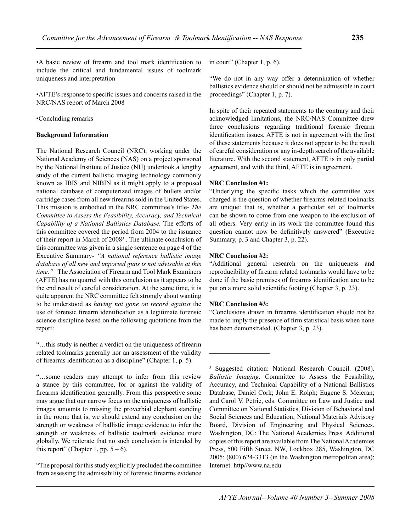•A basic review of firearm and tool mark identification to include the critical and fundamental issues of toolmark uniqueness and interpretation

•AFTE's response to specific issues and concerns raised in the NRC/NAS report of March 2008

•Concluding remarks

## **Background Information**

The National Research Council (NRC), working under the National Academy of Sciences (NAS) on a project sponsored by the National Institute of Justice (NIJ) undertook a lengthy study of the current ballistic imaging technology commonly known as IBIS and NIBIN as it might apply to a proposed national database of computerized images of bullets and/or cartridge cases from all new firearms sold in the United States. This mission is embodied in the NRC committee's title- *The Committee to Assess the Feasibility, Accuracy, and Technical Capability of a National Ballistics Database.* The efforts of this committee covered the period from 2004 to the issuance of their report in March of 2008<sup>3</sup>. The ultimate conclusion of this committee was given in a single sentence on page 4 of the Executive Summary- *"A national reference ballistic image database of all new and imported guns is not advisable at this time."* The Association of Firearm and Tool Mark Examiners (AFTE) has no quarrel with this conclusion as it appears to be the end result of careful consideration. At the same time, it is quite apparent the NRC committee felt strongly about wanting to be understood as *having not gone on record against* the use of forensic firearm identification as a legitimate forensic science discipline based on the following quotations from the report:

"…this study is neither a verdict on the uniqueness of firearm related toolmarks generally nor an assessment of the validity of firearms identification as a discipline" (Chapter 1, p. 5).

"…some readers may attempt to infer from this review a stance by this committee, for or against the validity of firearms identification generally. From this perspective some may argue that our narrow focus on the uniqueness of ballistic images amounts to missing the proverbial elephant standing in the room: that is, we should extend any conclusion on the strength or weakness of ballistic image evidence to infer the strength or weakness of ballistic toolmark evidence more globally. We reiterate that no such conclusion is intended by this report" (Chapter 1, pp.  $5 - 6$ ).

"The proposal for this study explicitly precluded the committee from assessing the admissibility of forensic firearms evidence in court" (Chapter 1, p. 6).

"We do not in any way offer a determination of whether ballistics evidence should or should not be admissible in court proceedings" (Chapter 1, p. 7).

In spite of their repeated statements to the contrary and their acknowledged limitations, the NRC/NAS Committee drew three conclusions regarding traditional forensic firearm identification issues. AFTE is not in agreement with the first of these statements because it does not appear to be the result of careful consideration or any in-depth search of the available literature. With the second statement, AFTE is in only partial agreement, and with the third, AFTE is in agreement.

## **NRC Conclusion #1:**

"Underlying the specific tasks which the committee was charged is the question of whether firearms-related toolmarks are unique: that is, whether a particular set of toolmarks can be shown to come from one weapon to the exclusion of all others. Very early in its work the committee found this question cannot now be definitively answered" (Executive Summary, p. 3 and Chapter 3, p. 22).

## **NRC Conclusion #2:**

"Additional general research on the uniqueness and reproducibility of firearm related toolmarks would have to be done if the basic premises of firearms identification are to be put on a more solid scientific footing (Chapter 3, p. 23).

# **NRC Conclusion #3:**

"Conclusions drawn in firearms identification should not be made to imply the presence of firm statistical basis when none has been demonstrated. (Chapter 3, p. 23).

3 Suggested citation: National Research Council. (2008). *Ballistic Imaging*. Committee to Assess the Feasibility, Accuracy, and Technical Capability of a National Ballistics Database, Daniel Cork; John E. Rolph; Eugene S. Meieran; and Carol V. Petrie, eds. Committee on Law and Justice and Committee on National Statistics, Division of Behavioral and Social Sciences and Education; National Materials Advisory Board, Division of Engineering and Physical Sciences. Washington, DC: The National Academies Press. Additional copies of this report are available from The National Academies Press, 500 Fifth Street, NW, Lockbox 285, Washington, DC 2005; (800) 624-3313 (in the Washington metropolitan area); Internet. http//www.na.edu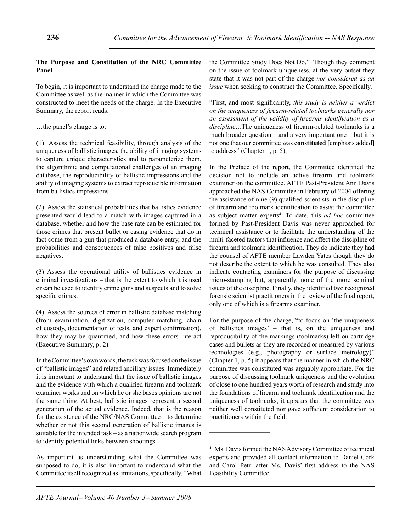# **The Purpose and Constitution of the NRC Committee Panel**

To begin, it is important to understand the charge made to the Committee as well as the manner in which the Committee was constructed to meet the needs of the charge. In the Executive Summary, the report reads:

…the panel's charge is to:

(1) Assess the technical feasibility, through analysis of the uniqueness of ballistic images, the ability of imaging systems to capture unique characteristics and to parameterize them, the algorithmic and computational challenges of an imaging database, the reproducibility of ballistic impressions and the ability of imaging systems to extract reproducible information from ballistics impressions.

(2) Assess the statistical probabilities that ballistics evidence presented would lead to a match with images captured in a database, whether and how the base rate can be estimated for those crimes that present bullet or casing evidence that do in fact come from a gun that produced a database entry, and the probabilities and consequences of false positives and false negatives.

(3) Assess the operational utility of ballistics evidence in criminal investigations – that is the extent to which it is used or can be used to identify crime guns and suspects and to solve specific crimes.

(4) Assess the sources of error in ballistic database matching (from examination, digitization, computer matching, chain of custody, documentation of tests, and expert confirmation), how they may be quantified, and how these errors interact (Executive Summary, p. 2).

In the Committee's own words, the task was focused on the issue of "ballistic images" and related ancillary issues. Immediately it is important to understand that the issue of ballistic images and the evidence with which a qualified firearm and toolmark examiner works and on which he or she bases opinions are not the same thing. At best, ballistic images represent a second generation of the actual evidence. Indeed, that is the reason for the existence of the NRC/NAS Committee – to determine whether or not this second generation of ballistic images is suitable for the intended task – as a nationwide search program to identify potential links between shootings.

As important as understanding what the Committee was supposed to do, it is also important to understand what the Committee itself recognized as limitations, specifically, "What the Committee Study Does Not Do." Though they comment on the issue of toolmark uniqueness, at the very outset they state that it was not part of the charge *nor considered as an issue* when seeking to construct the Committee. Specifically,

"First, and most significantly, *this study is neither a verdict on the uniqueness of firearm-related toolmarks generally nor an assessment of the validity of firearms identification as a discipline…*The uniqueness of firearm-related toolmarks is a much broader question – and a very important one – but it is not one that our committee was **constituted** [emphasis added] to address" (Chapter 1, p. 5),

In the Preface of the report, the Committee identified the decision not to include an active firearm and toolmark examiner on the committee. AFTE Past-President Ann Davis approached the NAS Committee in February of 2004 offering the assistance of nine (9) qualified scientists in the discipline of firearm and toolmark identification to assist the committee as subject matter experts<sup>4</sup>. To date, this *ad hoc* committee formed by Past-President Davis was never approached for technical assistance or to facilitate the understanding of the multi-faceted factors that influence and affect the discipline of firearm and toolmark identification. They do indicate they had the counsel of AFTE member Lawden Yates though they do not describe the extent to which he was consulted. They also indicate contacting examiners for the purpose of discussing micro-stamping but, apparently, none of the more seminal issues of the discipline. Finally, they identified two recognized forensic scientist practitioners in the review of the final report, only one of which is a firearms examiner.

For the purpose of the charge, "to focus on 'the uniqueness of ballistics images' – that is, on the uniqueness and reproducibility of the markings (toolmarks) left on cartridge cases and bullets as they are recorded or measured by various technologies (e.g., photography or surface metrology)" (Chapter 1, p. 5) it appears that the manner in which the NRC committee was constituted was arguably appropriate. For the purpose of discussing toolmark uniqueness and the evolution of close to one hundred years worth of research and study into the foundations of firearm and toolmark identification and the uniqueness of toolmarks, it appears that the committee was neither well constituted nor gave sufficient consideration to practitioners within the field.

<sup>4</sup> Ms. Davis formed the NAS Advisory Committee of technical experts and provided all contact information to Daniel Cork and Carol Petri after Ms. Davis' first address to the NAS Feasibility Committee.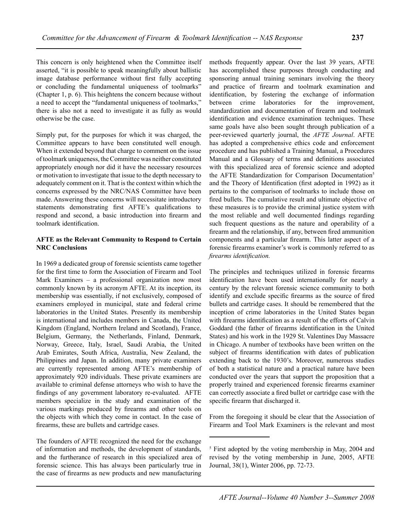This concern is only heightened when the Committee itself asserted, "it is possible to speak meaningfully about ballistic image database performance without first fully accepting or concluding the fundamental uniqueness of toolmarks" (Chapter 1, p. 6). This heightens the concern because without a need to accept the "fundamental uniqueness of toolmarks," there is also not a need to investigate it as fully as would otherwise be the case.

Simply put, for the purposes for which it was charged, the Committee appears to have been constituted well enough. When it extended beyond that charge to comment on the issue of toolmark uniqueness, the Committee was neither constituted appropriately enough nor did it have the necessary resources or motivation to investigate that issue to the depth necessary to adequately comment on it. That is the context within which the concerns expressed by the NRC/NAS Committee have been made. Answering these concerns will necessitate introductory statements demonstrating first AFTE's qualifications to respond and second, a basic introduction into firearm and toolmark identification.

## **AFTE as the Relevant Community to Respond to Certain NRC Conclusions**

In 1969 a dedicated group of forensic scientists came together for the first time to form the Association of Firearm and Tool Mark Examiners – a professional organization now most commonly known by its acronym AFTE. At its inception, its membership was essentially, if not exclusively, composed of examiners employed in municipal, state and federal crime laboratories in the United States. Presently its membership is international and includes members in Canada, the United Kingdom (England, Northern Ireland and Scotland), France, Belgium, Germany, the Netherlands, Finland, Denmark, Norway, Greece, Italy, Israel, Saudi Arabia, the United Arab Emirates, South Africa, Australia, New Zealand, the Philippines and Japan. In addition, many private examiners are currently represented among AFTE's membership of approximately 920 individuals. These private examiners are available to criminal defense attorneys who wish to have the findings of any government laboratory re-evaluated. AFTE members specialize in the study and examination of the various markings produced by firearms and other tools on the objects with which they come in contact. In the case of firearms, these are bullets and cartridge cases.

The founders of AFTE recognized the need for the exchange of information and methods, the development of standards, and the furtherance of research in this specialized area of forensic science. This has always been particularly true in the case of firearms as new products and new manufacturing

methods frequently appear. Over the last 39 years, AFTE has accomplished these purposes through conducting and sponsoring annual training seminars involving the theory and practice of firearm and toolmark examination and identification, by fostering the exchange of information between crime laboratories for the improvement, standardization and documentation of firearm and toolmark identification and evidence examination techniques. These same goals have also been sought through publication of a peer-reviewed quarterly journal, the *AFTE Journal*. AFTE has adopted a comprehensive ethics code and enforcement procedure and has published a Training Manual, a Procedures Manual and a Glossary of terms and definitions associated with this specialized area of forensic science and adopted the AFTE Standardization for Comparison Documentation<sup>5</sup> and the Theory of Identification (first adopted in 1992) as it pertains to the comparison of toolmarks to include those on fired bullets. The cumulative result and ultimate objective of these measures is to provide the criminal justice system with the most reliable and well documented findings regarding such frequent questions as the nature and operability of a firearm and the relationship, if any, between fired ammunition components and a particular firearm. This latter aspect of a forensic firearms examiner's work is commonly referred to as *firearms identification.* 

The principles and techniques utilized in forensic firearms identification have been used internationally for nearly a century by the relevant forensic science community to both identify and exclude specific firearms as the source of fired bullets and cartridge cases. It should be remembered that the inception of crime laboratories in the United States began with firearms identification as a result of the efforts of Calvin Goddard (the father of firearms identification in the United States) and his work in the 1929 St. Valentines Day Massacre in Chicago. A number of textbooks have been written on the subject of firearms identification with dates of publication extending back to the 1930's. Moreover, numerous studies of both a statistical nature and a practical nature have been conducted over the years that support the proposition that a properly trained and experienced forensic firearms examiner can correctly associate a fired bullet or cartridge case with the specific firearm that discharged it.

From the foregoing it should be clear that the Association of Firearm and Tool Mark Examiners is the relevant and most

<sup>5</sup> First adopted by the voting membership in May, 2004 and revised by the voting membership in June, 2005, AFTE Journal, 38(1), Winter 2006, pp. 72-73.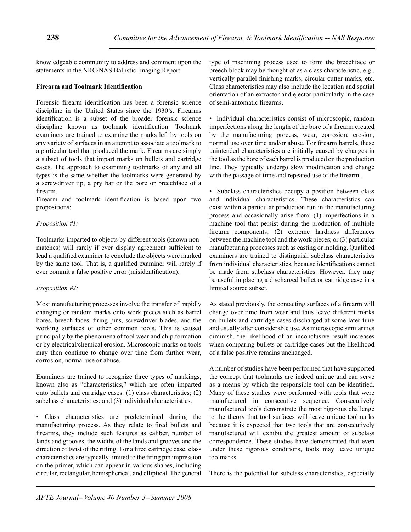knowledgeable community to address and comment upon the statements in the NRC/NAS Ballistic Imaging Report.

# **Firearm and Toolmark Identification**

Forensic firearm identification has been a forensic science discipline in the United States since the 1930's. Firearms identification is a subset of the broader forensic science discipline known as toolmark identification. Toolmark examiners are trained to examine the marks left by tools on any variety of surfaces in an attempt to associate a toolmark to a particular tool that produced the mark. Firearms are simply a subset of tools that impart marks on bullets and cartridge cases. The approach to examining toolmarks of any and all types is the same whether the toolmarks were generated by a screwdriver tip, a pry bar or the bore or breechface of a firearm.

Firearm and toolmark identification is based upon two propositions:

# *Proposition #1:*

Toolmarks imparted to objects by different tools (known nonmatches) will rarely if ever display agreement sufficient to lead a qualified examiner to conclude the objects were marked by the same tool. That is, a qualified examiner will rarely if ever commit a false positive error (misidentification).

# *Proposition #2:*

Most manufacturing processes involve the transfer of rapidly changing or random marks onto work pieces such as barrel bores, breech faces, firing pins, screwdriver blades, and the working surfaces of other common tools. This is caused principally by the phenomena of tool wear and chip formation or by electrical/chemical erosion. Microscopic marks on tools may then continue to change over time from further wear, corrosion, normal use or abuse.

Examiners are trained to recognize three types of markings, known also as "characteristics," which are often imparted onto bullets and cartridge cases: (1) class characteristics; (2) subclass characteristics; and (3) individual characteristics.

• Class characteristics are predetermined during the manufacturing process. As they relate to fired bullets and firearms, they include such features as caliber, number of lands and grooves, the widths of the lands and grooves and the direction of twist of the rifling. For a fired cartridge case, class characteristics are typically limited to the firing pin impression on the primer, which can appear in various shapes, including circular, rectangular, hemispherical, and elliptical. The general

type of machining process used to form the breechface or breech block may be thought of as a class characteristic, e.g., vertically parallel finishing marks, circular cutter marks, etc. Class characteristics may also include the location and spatial orientation of an extractor and ejector particularly in the case of semi-automatic firearms.

• Individual characteristics consist of microscopic, random imperfections along the length of the bore of a firearm created by the manufacturing process, wear, corrosion, erosion, normal use over time and/or abuse. For firearm barrels, these unintended characteristics are initially caused by changes in the tool as the bore of each barrel is produced on the production line. They typically undergo slow modification and change with the passage of time and repeated use of the firearm.

Subclass characteristics occupy a position between class and individual characteristics. These characteristics can exist within a particular production run in the manufacturing process and occasionally arise from: (1) imperfections in a machine tool that persist during the production of multiple firearm components; (2) extreme hardness differences between the machine tool and the work pieces; or (3) particular manufacturing processes such as casting or molding. Qualified examiners are trained to distinguish subclass characteristics from individual characteristics, because identifications cannot be made from subclass characteristics. However, they may be useful in placing a discharged bullet or cartridge case in a limited source subset.

As stated previously, the contacting surfaces of a firearm will change over time from wear and thus leave different marks on bullets and cartridge cases discharged at some later time and usually after considerable use. As microscopic similarities diminish, the likelihood of an inconclusive result increases when comparing bullets or cartridge cases but the likelihood of a false positive remains unchanged.

A number of studies have been performed that have supported the concept that toolmarks are indeed unique and can serve as a means by which the responsible tool can be identified. Many of these studies were performed with tools that were manufactured in consecutive sequence. Consecutively manufactured tools demonstrate the most rigorous challenge to the theory that tool surfaces will leave unique toolmarks because it is expected that two tools that are consecutively manufactured will exhibit the greatest amount of subclass correspondence. These studies have demonstrated that even under these rigorous conditions, tools may leave unique toolmarks.

There is the potential for subclass characteristics, especially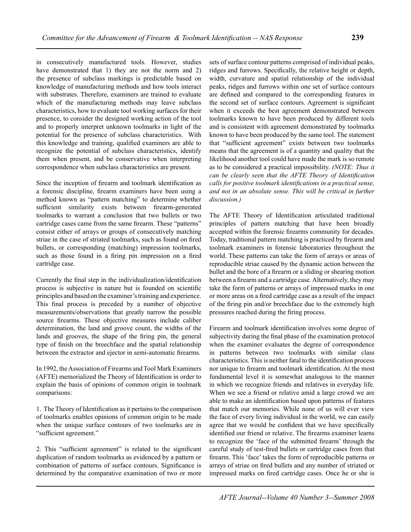in consecutively manufactured tools. However, studies have demonstrated that 1) they are not the norm and 2) the presence of subclass markings is predictable based on knowledge of manufacturing methods and how tools interact with substrates. Therefore, examiners are trained to evaluate which of the manufacturing methods may leave subclass characteristics, how to evaluate tool working surfaces for their presence, to consider the designed working action of the tool and to properly interpret unknown toolmarks in light of the potential for the presence of subclass characteristics. With this knowledge and training, qualified examiners are able to recognize the potential of subclass characteristics, identify them when present, and be conservative when interpreting correspondence when subclass characteristics are present.

Since the inception of firearm and toolmark identification as a forensic discipline, firearm examiners have been using a method known as "pattern matching" to determine whether sufficient similarity exists between firearm-generated toolmarks to warrant a conclusion that two bullets or two cartridge cases came from the same firearm. These "patterns" consist either of arrays or groups of consecutively matching striae in the case of striated toolmarks, such as found on fired bullets, or corresponding (matching) impression toolmarks, such as those found in a firing pin impression on a fired cartridge case.

Currently the final step in the individualization/identification process is subjective in nature but is founded on scientific principles and based on the examiner's training and experience. This final process is preceded by a number of objective measurements/observations that greatly narrow the possible source firearms. These objective measures include caliber determination, the land and groove count, the widths of the lands and grooves, the shape of the firing pin, the general type of finish on the breechface and the spatial relationship between the extractor and ejector in semi-automatic firearms.

In 1992, the Association of Firearms and Tool Mark Examiners (AFTE) memorialized the Theory of Identification in order to explain the basis of opinions of common origin in toolmark comparisons:

1. The Theory of Identification as it pertains to the comparison of toolmarks enables opinions of common origin to be made when the unique surface contours of two toolmarks are in "sufficient agreement."

2. This "sufficient agreement" is related to the significant duplication of random toolmarks as evidenced by a pattern or combination of patterns of surface contours. Significance is determined by the comparative examination of two or more sets of surface contour patterns comprised of individual peaks, ridges and furrows. Specifically, the relative height or depth, width, curvature and spatial relationship of the individual peaks, ridges and furrows within one set of surface contours are defined and compared to the corresponding features in the second set of surface contours. Agreement is significant when it exceeds the best agreement demonstrated between toolmarks known to have been produced by different tools and is consistent with agreement demonstrated by toolmarks known to have been produced by the same tool. The statement that "sufficient agreement" exists between two toolmarks means that the agreement is of a quantity and quality that the likelihood another tool could have made the mark is so remote as to be considered a practical impossibility. *(NOTE: Thus it can be clearly seen that the AFTE Theory of Identification calls for positive toolmark identifications in a practical sense, and not in an absolute sense. This will be critical in further discussion.)*

The AFTE Theory of Identification articulated traditional principles of pattern matching that have been broadly accepted within the forensic firearms community for decades. Today, traditional pattern matching is practiced by firearm and toolmark examiners in forensic laboratories throughout the world. These patterns can take the form of arrays or areas of reproducible striae caused by the dynamic action between the bullet and the bore of a firearm or a sliding or shearing motion between a firearm and a cartridge case. Alternatively, they may take the form of patterns or arrays of impressed marks in one or more areas on a fired cartridge case as a result of the impact of the firing pin and/or breechface due to the extremely high pressures reached during the firing process.

Firearm and toolmark identification involves some degree of subjectivity during the final phase of the examination protocol when the examiner evaluates the degree of correspondence in patterns between two toolmarks with similar class characteristics. This is neither fatal to the identification process nor unique to firearm and toolmark identification. At the most fundamental level it is somewhat analogous to the manner in which we recognize friends and relatives in everyday life. When we see a friend or relative amid a large crowd we are able to make an identification based upon patterns of features that match our memories. While none of us will ever view the face of every living individual in the world, we can easily agree that we would be confident that we have specifically identified our friend or relative. The firearms examiner learns to recognize the 'face of the submitted firearm' through the careful study of test-fired bullets or cartridge cases from that firearm. This 'face' takes the form of reproducible patterns or arrays of striae on fired bullets and any number of striated or impressed marks on fired cartridge cases. Once he or she is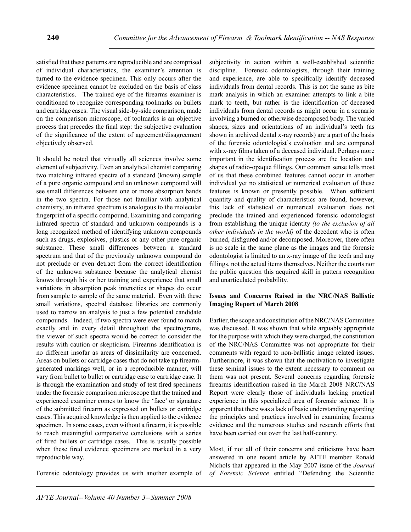satisfied that these patterns are reproducible and are comprised of individual characteristics, the examiner's attention is turned to the evidence specimen. This only occurs after the evidence specimen cannot be excluded on the basis of class characteristics. The trained eye of the firearms examiner is conditioned to recognize corresponding toolmarks on bullets and cartridge cases. The visual side-by-side comparison, made on the comparison microscope, of toolmarks is an objective process that precedes the final step: the subjective evaluation of the significance of the extent of agreement/disagreement objectively observed.

It should be noted that virtually all sciences involve some element of subjectivity. Even an analytical chemist comparing two matching infrared spectra of a standard (known) sample of a pure organic compound and an unknown compound will see small differences between one or more absorption bands in the two spectra. For those not familiar with analytical chemistry, an infrared spectrum is analogous to the molecular fingerprint of a specific compound. Examining and comparing infrared spectra of standard and unknown compounds is a long recognized method of identifying unknown compounds such as drugs, explosives, plastics or any other pure organic substance. These small differences between a standard spectrum and that of the previously unknown compound do not preclude or even detract from the correct identification of the unknown substance because the analytical chemist knows through his or her training and experience that small variations in absorption peak intensities or shapes do occur from sample to sample of the same material. Even with these small variations, spectral database libraries are commonly used to narrow an analysis to just a few potential candidate compounds. Indeed, if two spectra were ever found to match exactly and in every detail throughout the spectrograms, the viewer of such spectra would be correct to consider the results with caution or skepticism. Firearms identification is no different insofar as areas of dissimilarity are concerned. Areas on bullets or cartridge cases that do not take up firearmgenerated markings well, or in a reproducible manner, will vary from bullet to bullet or cartridge case to cartridge case. It is through the examination and study of test fired specimens under the forensic comparison microscope that the trained and experienced examiner comes to know the 'face' or signature of the submitted firearm as expressed on bullets or cartridge cases. This acquired knowledge is then applied to the evidence specimen. In some cases, even without a firearm, it is possible to reach meaningful comparative conclusions with a series of fired bullets or cartridge cases. This is usually possible when these fired evidence specimens are marked in a very reproducible way.

Forensic odontology provides us with another example of

subjectivity in action within a well-established scientific discipline. Forensic odontologists, through their training and experience, are able to specifically identify deceased individuals from dental records. This is not the same as bite mark analysis in which an examiner attempts to link a bite mark to teeth, but rather is the identification of deceased individuals from dental records as might occur in a scenario involving a burned or otherwise decomposed body. The varied shapes, sizes and orientations of an individual's teeth (as shown in archived dental x-ray records) are a part of the basis of the forensic odontologist's evaluation and are compared with x-ray films taken of a deceased individual. Perhaps more important in the identification process are the location and shapes of radio-opaque fillings. Our common sense tells most of us that these combined features cannot occur in another individual yet no statistical or numerical evaluation of these features is known or presently possible. When sufficient quantity and quality of characteristics are found, however, this lack of statistical or numerical evaluation does not preclude the trained and experienced forensic odontologist from establishing the unique identity *(to the exclusion of all other individuals in the world)* of the decedent who is often burned, disfigured and/or decomposed. Moreover, there often is no scale in the same plane as the images and the forensic odontologist is limited to an x-ray image of the teeth and any fillings, not the actual items themselves. Neither the courts nor the public question this acquired skill in pattern recognition and unarticulated probability.

## **Issues and Concerns Raised in the NRC/NAS Ballistic Imaging Report of March 2008**

Earlier, the scope and constitution of the NRC/NAS Committee was discussed. It was shown that while arguably appropriate for the purpose with which they were charged, the constitution of the NRC/NAS Committee was not appropriate for their comments with regard to non-ballistic image related issues. Furthermore, it was shown that the motivation to investigate these seminal issues to the extent necessary to comment on them was not present. Several concerns regarding forensic firearms identification raised in the March 2008 NRC/NAS Report were clearly those of individuals lacking practical experience in this specialized area of forensic science. It is apparent that there was a lack of basic understanding regarding the principles and practices involved in examining firearms evidence and the numerous studies and research efforts that have been carried out over the last half-century.

Most, if not all of their concerns and criticisms have been answered in one recent article by AFTE member Ronald Nichols that appeared in the May 2007 issue of the *Journal of Forensic Science* entitled "Defending the Scientific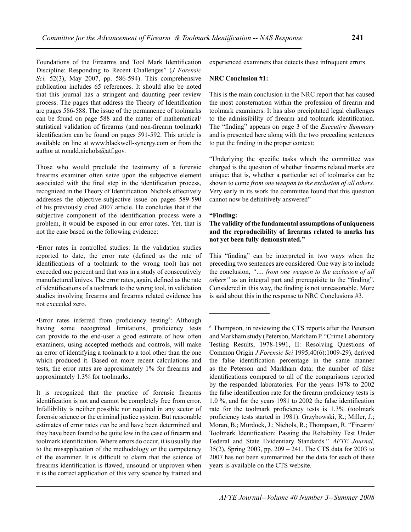Foundations of the Firearms and Tool Mark Identification Discipline: Responding to Recent Challenges" (*J Forensic Sci,* 52(3), May 2007, pp. 586-594). This comprehensive publication includes 65 references. It should also be noted that this journal has a stringent and daunting peer review process. The pages that address the Theory of Identification are pages 586-588. The issue of the permanence of toolmarks can be found on page 588 and the matter of mathematical/ statistical validation of firearms (and non-firearm toolmark) identification can be found on pages 591-592. This article is available on line at www.blackwell-synergy.com or from the author at ronald.nichols@atf.gov.

Those who would preclude the testimony of a forensic firearms examiner often seize upon the subjective element associated with the final step in the identification process, recognized in the Theory of Identification. Nichols effectively addresses the objective-subjective issue on pages 589-590 of his previously cited 2007 article. He concludes that if the subjective component of the identification process were a problem, it would be exposed in our error rates. Yet, that is not the case based on the following evidence:

•Error rates in controlled studies: In the validation studies reported to date, the error rate (defined as the rate of identifications of a toolmark to the wrong tool) has not exceeded one percent and that was in a study of consecutively manufactured knives. The error rates, again, defined as the rate of identifications of a toolmark to the wrong tool, in validation studies involving firearms and firearms related evidence has not exceeded zero.

•Error rates inferred from proficiency testing<sup>6</sup> : Although having some recognized limitations, proficiency tests can provide to the end-user a good estimate of how often examiners, using accepted methods and controls, will make an error of identifying a toolmark to a tool other than the one which produced it. Based on more recent calculations and tests, the error rates are approximately 1% for firearms and approximately 1.3% for toolmarks.

It is recognized that the practice of forensic firearms identification is not and cannot be completely free from error. Infallibility is neither possible nor required in any sector of forensic science or the criminal justice system. But reasonable estimates of error rates *can* be and have been determined and they have been found to be quite low in the case of firearm and toolmark identification. Where errors do occur, it is usually due to the misapplication of the methodology or the competency of the examiner. It is difficult to claim that the science of firearms identification is flawed, unsound or unproven when it is the correct application of this very science by trained and

experienced examiners that detects these infrequent errors.

## **NRC Conclusion #1:**

This is the main conclusion in the NRC report that has caused the most consternation within the profession of firearm and toolmark examiners. It has also precipitated legal challenges to the admissibility of firearm and toolmark identification. The "finding" appears on page 3 of the *Executive Summary*  and is presented here along with the two preceding sentences to put the finding in the proper context:

"Underlying the specific tasks which the committee was charged is the question of whether firearms related marks are unique: that is, whether a particular set of toolmarks can be shown to come *from one weapon to the exclusion of all others.* Very early in its work the committee found that this question cannot now be definitively answered"

#### **"Finding:**

## **The validity of the fundamental assumptions of uniqueness and the reproducibility of firearms related to marks has not yet been fully demonstrated."**

This "finding" can be interpreted in two ways when the preceding two sentences are considered. One way is to include the conclusion, *"…. from one weapon to the exclusion of all others"* as an integral part and prerequisite to the "finding". Considered in this way, the finding is not unreasonable. More is said about this in the response to NRC Conclusions #3.

<sup>6</sup> Thompson, in reviewing the CTS reports after the Peterson and Markham study (Peterson, Markham P. "Crime Laboratory Testing Results, 1978-1991, II: Resolving Questions of Common Origin *J Forensic Sci* 1995;40(6):1009-29), derived the false identification percentage in the same manner as the Peterson and Markham data; the number of false identifications compared to all of the comparisons reported by the responded laboratories. For the years 1978 to 2002 the false identification rate for the firearm proficiency tests is 1.0 %, and for the years 1981 to 2002 the false identification rate for the toolmark proficiency tests is 1.3% (toolmark proficiency tests started in 1981). Grzybowski, R.; Miller, J.; Moran, B.; Murdock, J.; Nichols, R.; Thompson, R. "Firearm/ Toolmark Identification: Passing the Reliability Test Under Federal and State Evidentiary Standards." *AFTE Journal*, 35(2), Spring 2003, pp. 209 – 241. The CTS data for 2003 to 2007 has not been summarized but the data for each of these years is available on the CTS website.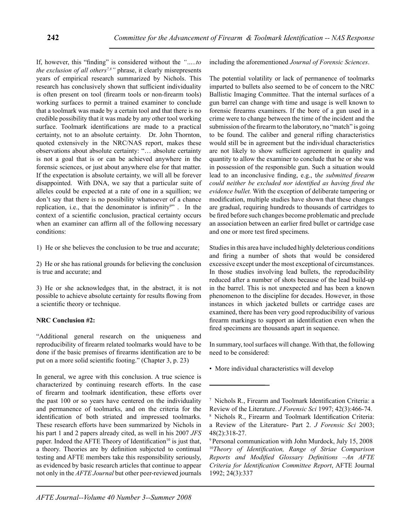If, however, this "finding" is considered without the *"…..to the exclusion of all others7,8"* phrase, it clearly misrepresents years of empirical research summarized by Nichols. This research has conclusively shown that sufficient individuality is often present on tool (firearm tools or non-firearm tools) working surfaces to permit a trained examiner to conclude that a toolmark was made by a certain tool and that there is no credible possibility that it was made by any other tool working surface. Toolmark identifications are made to a practical certainty, not to an absolute certainty. Dr. John Thornton, quoted extensively in the NRC/NAS report, makes these observations about absolute certainty: "… absolute certainty is not a goal that is or can be achieved anywhere in the forensic sciences, or just about anywhere else for that matter. If the expectation is absolute certainty, we will all be forever disappointed. With DNA, we say that a particular suite of alleles could be expected at a rate of one in a squillion; we don't say that there is no possibility whatsoever of a chance replication, i.e., that the denominator is infinity $9$ . In the context of a scientific conclusion, practical certainty occurs when an examiner can affirm all of the following necessary conditions:

1) He or she believes the conclusion to be true and accurate;

2) He or she has rational grounds for believing the conclusion is true and accurate; and

3) He or she acknowledges that, in the abstract, it is not possible to achieve absolute certainty for results flowing from a scientific theory or technique.

## **NRC Conclusion #2:**

"Additional general research on the uniqueness and reproducibility of firearm related toolmarks would have to be done if the basic premises of firearms identification are to be put on a more solid scientific footing." (Chapter 3, p. 23)

In general, we agree with this conclusion. A true science is characterized by continuing research efforts. In the case of firearm and toolmark identification, these efforts over the past 100 or so years have centered on the individuality and permanence of toolmarks, and on the criteria for the identification of both striated and impressed toolmarks. These research efforts have been summarized by Nichols in his part 1 and 2 papers already cited, as well in his 2007 *JFS* paper. Indeed the AFTE Theory of Identification<sup>10</sup> is just that, a theory. Theories are by definition subjected to continual testing and AFTE members take this responsibility seriously, as evidenced by basic research articles that continue to appear not only in the *AFTE Journal* but other peer-reviewed journals

including the aforementioned *Journal of Forensic Sciences*.

The potential volatility or lack of permanence of toolmarks imparted to bullets also seemed to be of concern to the NRC Ballistic Imaging Committee. That the internal surfaces of a gun barrel can change with time and usage is well known to forensic firearms examiners. If the bore of a gun used in a crime were to change between the time of the incident and the submission of the firearm to the laboratory, no "match" is going to be found. The caliber and general rifling characteristics would still be in agreement but the individual characteristics are not likely to show sufficient agreement in quality and quantity to allow the examiner to conclude that he or she was in possession of the responsible gun. Such a situation would lead to an inconclusive finding, e.g., t*he submitted firearm could neither be excluded nor identified as having fired the evidence bullet.* With the exception of deliberate tampering or modification, multiple studies have shown that these changes are gradual, requiring hundreds to thousands of cartridges to be fired before such changes become problematic and preclude an association between an earlier fired bullet or cartridge case and one or more test fired specimens.

Studies in this area have included highly deleterious conditions and firing a number of shots that would be considered excessive except under the most exceptional of circumstances. In those studies involving lead bullets, the reproducibility reduced after a number of shots because of the lead build-up in the barrel. This is not unexpected and has been a known phenomenon to the discipline for decades. However, in those instances in which jacketed bullets or cartridge cases are examined, there has been very good reproducibility of various firearm markings to support an identification even when the fired specimens are thousands apart in sequence.

In summary, tool surfaces will change. With that, the following need to be considered:

• More individual characteristics will develop

<sup>7</sup>Nichols R., Firearm and Toolmark Identification Criteria: a Review of the Literature. *J Forensic Sci* 1997; 42(3):466-74.

<sup>&</sup>lt;sup>8</sup> Nichols R., Firearm and Toolmark Identification Criteria: a Review of the Literature- Part 2. *J Forensic Sci* 2003; 48(2):318-27.

<sup>9</sup> Personal communication with John Murdock, July 15, 2008 <sup>10</sup>*Theory of Identification, Range of Striae Comparison Reports and Modified Glossary Definitions –An AFTE Criteria for Identification Committee Report*, AFTE Journal 1992; 24(3):337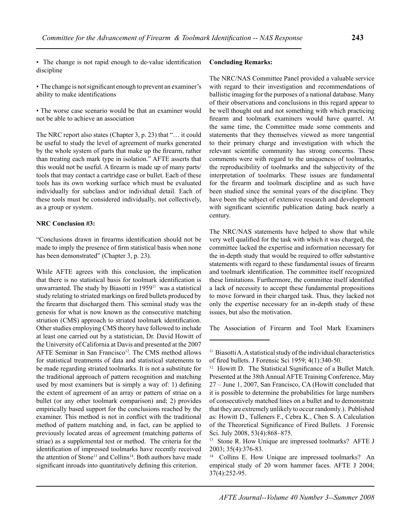• The change is not rapid enough to de-value identification discipline

• The change is not significant enough to prevent an examiner's ability to make identifications

• The worse case scenario would be that an examiner would not be able to achieve an association

The NRC report also states (Chapter 3, p. 23) that "… it could be useful to study the level of agreement of marks generated by the whole system of parts that make up the firearm, rather than treating each mark type in isolation." AFTE asserts that this would not be useful. A firearm is made up of many parts/ tools that may contact a cartridge case or bullet. Each of these tools has its own working surface which must be evaluated individually for subclass and/or individual detail. Each of these tools must be considered individually, not collectively, as a group or system.

## **NRC Conclusion #3:**

"Conclusions drawn in firearms identification should not be made to imply the presence of firm statistical basis when none has been demonstrated" (Chapter 3, p. 23).

While AFTE agrees with this conclusion, the implication that there is no statistical basis for toolmark identification is unwarranted. The study by Biasotti in 1959<sup>11</sup> was a statistical study relating to striated markings on fired bullets produced by the firearm that discharged them. This seminal study was the genesis for what is now known as the consecutive matching striation (CMS) approach to striated toolmark identification. Other studies employing CMS theory have followed to include at least one carried out by a statistician, Dr. David Howitt of the University of California at Davis and presented at the 2007 AFTE Seminar in San Francisco<sup>12</sup>. The CMS method allows for statistical treatments of data and statistical statements to be made regarding striated toolmarks. It is not a substitute for the traditional approach of pattern recognition and matching used by most examiners but is simply a way of: 1) defining the extent of agreement of an array or pattern of striae on a bullet (or any other toolmark comparison) and; 2) provides empirically based support for the conclusions reached by the examiner. This method is not in conflict with the traditional method of pattern matching and, in fact, can be applied to previously located areas of agreement (matching patterns of striae) as a supplemental test or method. The criteria for the identification of impressed toolmarks have recently received the attention of Stone<sup>13</sup> and Collins<sup>14</sup>. Both authors have made significant inroads into quantitatively defining this criterion.

# **Concluding Remarks:**

The NRC/NAS Committee Panel provided a valuable service with regard to their investigation and recommendations of ballistic imaging for the purposes of a national database. Many of their observations and conclusions in this regard appear to be well thought out and not something with which practicing firearm and toolmark examiners would have quarrel. At the same time, the Committee made some comments and statements that they themselves viewed as more tangential to their primary charge and investigation with which the relevant scientific community has strong concerns. These comments were with regard to the uniqueness of toolmarks, the reproducibility of toolmarks and the subjectivity of the interpretation of toolmarks. These issues are fundamental for the firearm and toolmark discipline and as such have been studied since the seminal years of the discipline. They have been the subject of extensive research and development with significant scientific publication dating back nearly a century.

The NRC/NAS statements have helped to show that while very well qualified for the task with which it was charged, the committee lacked the expertise and information necessary for the in-depth study that would be required to offer substantive statements with regard to these fundamental issues of firearm and toolmark identification. The committee itself recognized these limitations. Furthermore, the committee itself identified a lack of necessity to accept these fundamental propositions to move forward in their charged task. Thus, they lacked not only the expertise necessary for an in-depth study of these issues, but also the motivation.

The Association of Firearm and Tool Mark Examiners

 $11$  Biasotti A. A statistical study of the individual characteristics of fired bullets. J Forensic Sci 1959; 4(1):340-50.

<sup>&</sup>lt;sup>12</sup> Howitt D. The Statistical Significance of a Bullet Match. Presented at the 38th Annual AFTE Training Conference, May 27 – June 1, 2007, San Francisco, CA (Howitt concluded that it is possible to determine the probabilities for large numbers of consecutively matched lines on a bullet and to demonstrate that they are extremely unlikely to occur randomly.). Published as: Howitt D., Tulleners F., Cebra K., Chen S. A Calculation of the Theoretical Significance of Fired Bullets. J Forensic Sci. July 2008, 53(4):868–875.

<sup>13</sup> Stone R. How Unique are impressed toolmarks? AFTE J 2003; 35(4):376-83.

<sup>&</sup>lt;sup>14</sup> Collins E. How Unique are impressed toolmarks? An empirical study of 20 worn hammer faces. AFTE J 2004; 37(4):252-95.